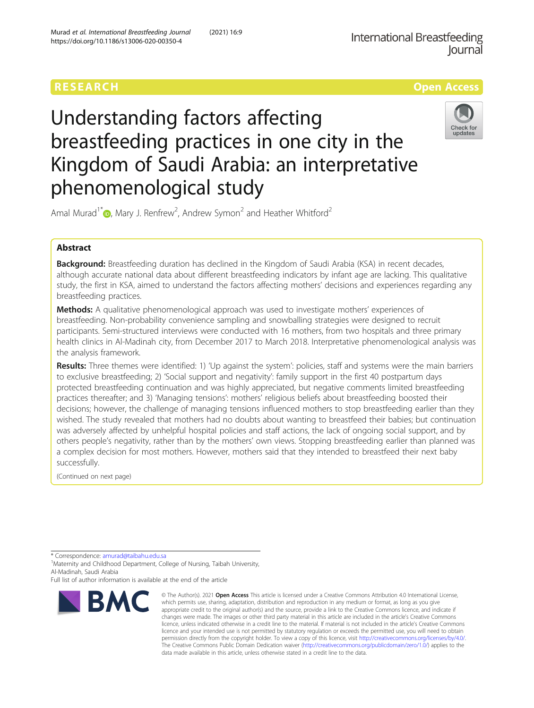## RESEARCH **RESEARCH CONSUMING THE CONSUMING THE CONSUMING TENS**



# Understanding factors affecting breastfeeding practices in one city in the Kingdom of Saudi Arabia: an interpretative phenomenological study



Amal Murad<sup>1\*</sup>  $\bullet$ [,](http://orcid.org/0000-0003-0464-8472) Mary J. Renfrew<sup>2</sup>, Andrew Symon<sup>2</sup> and Heather Whitford<sup>2</sup>

## Abstract

Background: Breastfeeding duration has declined in the Kingdom of Saudi Arabia (KSA) in recent decades, although accurate national data about different breastfeeding indicators by infant age are lacking. This qualitative study, the first in KSA, aimed to understand the factors affecting mothers' decisions and experiences regarding any breastfeeding practices.

**Methods:** A qualitative phenomenological approach was used to investigate mothers' experiences of breastfeeding. Non-probability convenience sampling and snowballing strategies were designed to recruit participants. Semi-structured interviews were conducted with 16 mothers, from two hospitals and three primary health clinics in Al-Madinah city, from December 2017 to March 2018. Interpretative phenomenological analysis was the analysis framework.

Results: Three themes were identified: 1) 'Up against the system': policies, staff and systems were the main barriers to exclusive breastfeeding; 2) 'Social support and negativity': family support in the first 40 postpartum days protected breastfeeding continuation and was highly appreciated, but negative comments limited breastfeeding practices thereafter; and 3) 'Managing tensions': mothers' religious beliefs about breastfeeding boosted their decisions; however, the challenge of managing tensions influenced mothers to stop breastfeeding earlier than they wished. The study revealed that mothers had no doubts about wanting to breastfeed their babies; but continuation was adversely affected by unhelpful hospital policies and staff actions, the lack of ongoing social support, and by others people's negativity, rather than by the mothers' own views. Stopping breastfeeding earlier than planned was a complex decision for most mothers. However, mothers said that they intended to breastfeed their next baby successfully.

(Continued on next page)

<sup>1</sup> Maternity and Childhood Department, College of Nursing, Taibah University, Al-Madinah, Saudi Arabia

Full list of author information is available at the end of the article



<sup>©</sup> The Author(s), 2021 **Open Access** This article is licensed under a Creative Commons Attribution 4.0 International License, which permits use, sharing, adaptation, distribution and reproduction in any medium or format, as long as you give appropriate credit to the original author(s) and the source, provide a link to the Creative Commons licence, and indicate if changes were made. The images or other third party material in this article are included in the article's Creative Commons licence, unless indicated otherwise in a credit line to the material. If material is not included in the article's Creative Commons licence and your intended use is not permitted by statutory regulation or exceeds the permitted use, you will need to obtain permission directly from the copyright holder. To view a copy of this licence, visit [http://creativecommons.org/licenses/by/4.0/.](http://creativecommons.org/licenses/by/4.0/) The Creative Commons Public Domain Dedication waiver [\(http://creativecommons.org/publicdomain/zero/1.0/](http://creativecommons.org/publicdomain/zero/1.0/)) applies to the data made available in this article, unless otherwise stated in a credit line to the data.

<sup>\*</sup> Correspondence: [amurad@taibahu.edu.sa](mailto:amurad@taibahu.edu.sa) <sup>1</sup>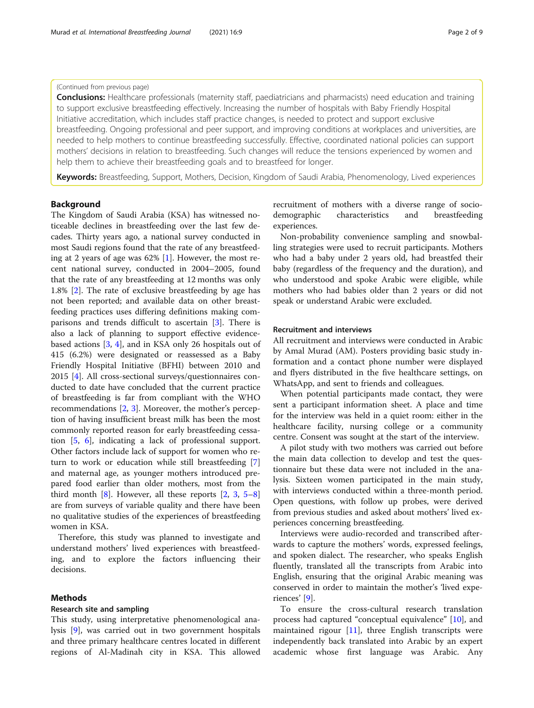#### (Continued from previous page)

**Conclusions:** Healthcare professionals (maternity staff, paediatricians and pharmacists) need education and training to support exclusive breastfeeding effectively. Increasing the number of hospitals with Baby Friendly Hospital Initiative accreditation, which includes staff practice changes, is needed to protect and support exclusive breastfeeding. Ongoing professional and peer support, and improving conditions at workplaces and universities, are needed to help mothers to continue breastfeeding successfully. Effective, coordinated national policies can support mothers' decisions in relation to breastfeeding. Such changes will reduce the tensions experienced by women and help them to achieve their breastfeeding goals and to breastfeed for longer.

Keywords: Breastfeeding, Support, Mothers, Decision, Kingdom of Saudi Arabia, Phenomenology, Lived experiences

## Background

The Kingdom of Saudi Arabia (KSA) has witnessed noticeable declines in breastfeeding over the last few decades. Thirty years ago, a national survey conducted in most Saudi regions found that the rate of any breastfeeding at 2 years of age was 62% [\[1](#page-7-0)]. However, the most recent national survey, conducted in 2004–2005, found that the rate of any breastfeeding at 12 months was only 1.8% [\[2](#page-7-0)]. The rate of exclusive breastfeeding by age has not been reported; and available data on other breastfeeding practices uses differing definitions making comparisons and trends difficult to ascertain [[3\]](#page-7-0). There is also a lack of planning to support effective evidencebased actions [\[3,](#page-7-0) [4](#page-7-0)], and in KSA only 26 hospitals out of 415 (6.2%) were designated or reassessed as a Baby Friendly Hospital Initiative (BFHI) between 2010 and 2015 [[4\]](#page-7-0). All cross-sectional surveys/questionnaires conducted to date have concluded that the current practice of breastfeeding is far from compliant with the WHO recommendations [\[2](#page-7-0), [3](#page-7-0)]. Moreover, the mother's perception of having insufficient breast milk has been the most commonly reported reason for early breastfeeding cessation [[5,](#page-7-0) [6](#page-7-0)], indicating a lack of professional support. Other factors include lack of support for women who return to work or education while still breastfeeding [\[7](#page-7-0)] and maternal age, as younger mothers introduced prepared food earlier than older mothers, most from the third month  $[8]$  $[8]$ . However, all these reports  $[2, 3, 5-8]$  $[2, 3, 5-8]$  $[2, 3, 5-8]$  $[2, 3, 5-8]$  $[2, 3, 5-8]$  $[2, 3, 5-8]$  $[2, 3, 5-8]$  $[2, 3, 5-8]$  $[2, 3, 5-8]$ are from surveys of variable quality and there have been no qualitative studies of the experiences of breastfeeding women in KSA.

Therefore, this study was planned to investigate and understand mothers' lived experiences with breastfeeding, and to explore the factors influencing their decisions.

### Methods

## Research site and sampling

This study, using interpretative phenomenological analysis [[9\]](#page-7-0), was carried out in two government hospitals and three primary healthcare centres located in different regions of Al-Madinah city in KSA. This allowed

## recruitment of mothers with a diverse range of sociodemographic characteristics and breastfeeding experiences.

Non-probability convenience sampling and snowballing strategies were used to recruit participants. Mothers who had a baby under 2 years old, had breastfed their baby (regardless of the frequency and the duration), and who understood and spoke Arabic were eligible, while mothers who had babies older than 2 years or did not speak or understand Arabic were excluded.

## Recruitment and interviews

All recruitment and interviews were conducted in Arabic by Amal Murad (AM). Posters providing basic study information and a contact phone number were displayed and flyers distributed in the five healthcare settings, on WhatsApp, and sent to friends and colleagues.

When potential participants made contact, they were sent a participant information sheet. A place and time for the interview was held in a quiet room: either in the healthcare facility, nursing college or a community centre. Consent was sought at the start of the interview.

A pilot study with two mothers was carried out before the main data collection to develop and test the questionnaire but these data were not included in the analysis. Sixteen women participated in the main study, with interviews conducted within a three-month period. Open questions, with follow up probes, were derived from previous studies and asked about mothers' lived experiences concerning breastfeeding.

Interviews were audio-recorded and transcribed afterwards to capture the mothers' words, expressed feelings, and spoken dialect. The researcher, who speaks English fluently, translated all the transcripts from Arabic into English, ensuring that the original Arabic meaning was conserved in order to maintain the mother's 'lived experiences' [\[9](#page-7-0)].

To ensure the cross-cultural research translation process had captured "conceptual equivalence" [[10\]](#page-7-0), and maintained rigour  $[11]$ , three English transcripts were independently back translated into Arabic by an expert academic whose first language was Arabic. Any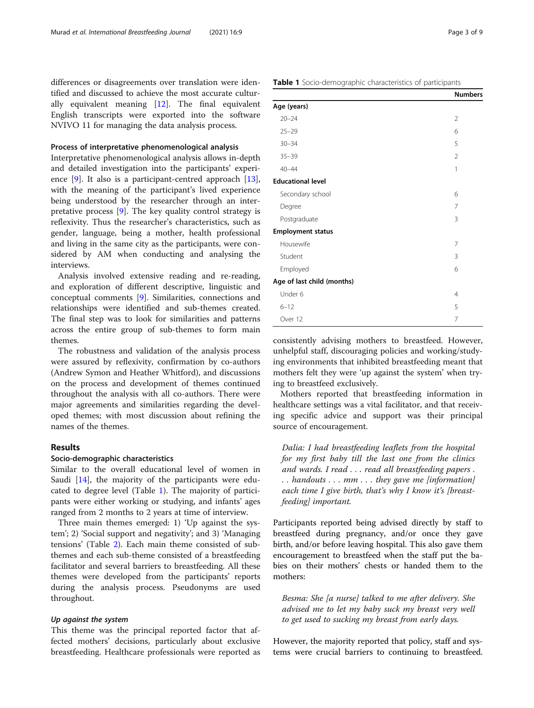differences or disagreements over translation were identified and discussed to achieve the most accurate culturally equivalent meaning [\[12\]](#page-7-0). The final equivalent English transcripts were exported into the software NVIVO 11 for managing the data analysis process.

## Process of interpretative phenomenological analysis

Interpretative phenomenological analysis allows in-depth and detailed investigation into the participants' experience [[9\]](#page-7-0). It also is a participant-centred approach [\[13](#page-7-0)], with the meaning of the participant's lived experience being understood by the researcher through an interpretative process [\[9\]](#page-7-0). The key quality control strategy is reflexivity. Thus the researcher's characteristics, such as gender, language, being a mother, health professional and living in the same city as the participants, were considered by AM when conducting and analysing the interviews.

Analysis involved extensive reading and re-reading, and exploration of different descriptive, linguistic and conceptual comments [[9](#page-7-0)]. Similarities, connections and relationships were identified and sub-themes created. The final step was to look for similarities and patterns across the entire group of sub-themes to form main themes.

The robustness and validation of the analysis process were assured by reflexivity, confirmation by co-authors (Andrew Symon and Heather Whitford), and discussions on the process and development of themes continued throughout the analysis with all co-authors. There were major agreements and similarities regarding the developed themes; with most discussion about refining the names of the themes.

## Results

## Socio-demographic characteristics

Similar to the overall educational level of women in Saudi [\[14](#page-7-0)], the majority of the participants were educated to degree level (Table 1). The majority of participants were either working or studying, and infants' ages ranged from 2 months to 2 years at time of interview.

Three main themes emerged: 1) 'Up against the system'; 2) 'Social support and negativity'; and 3) 'Managing tensions' (Table [2\)](#page-3-0). Each main theme consisted of subthemes and each sub-theme consisted of a breastfeeding facilitator and several barriers to breastfeeding. All these themes were developed from the participants' reports during the analysis process. Pseudonyms are used throughout.

### Up against the system

This theme was the principal reported factor that affected mothers' decisions, particularly about exclusive breastfeeding. Healthcare professionals were reported as

|                            | <b>Numbers</b> |
|----------------------------|----------------|
| Age (years)                |                |
| $20 - 24$                  | $\overline{2}$ |
| $25 - 29$                  | 6              |
| $30 - 34$                  | 5              |
| $35 - 39$                  | $\overline{2}$ |
| $40 - 44$                  | 1              |
| <b>Educational level</b>   |                |
| Secondary school           | 6              |
| Degree                     | 7              |
| Postgraduate               | 3              |
| <b>Employment status</b>   |                |
| Housewife                  | 7              |
| Student                    | 3              |
| Employed                   | 6              |
| Age of last child (months) |                |
| Under 6                    | $\overline{4}$ |
| $6 - 12$                   | 5              |
| Over 12                    | 7              |

consistently advising mothers to breastfeed. However, unhelpful staff, discouraging policies and working/studying environments that inhibited breastfeeding meant that mothers felt they were 'up against the system' when trying to breastfeed exclusively.

Mothers reported that breastfeeding information in healthcare settings was a vital facilitator, and that receiving specific advice and support was their principal source of encouragement.

Dalia: I had breastfeeding leaflets from the hospital for my first baby till the last one from the clinics and wards. I read . . . read all breastfeeding papers . . . handouts . . . mm . . . they gave me [information] each time I give birth, that's why I know it's [breastfeeding] important.

Participants reported being advised directly by staff to breastfeed during pregnancy, and/or once they gave birth, and/or before leaving hospital. This also gave them encouragement to breastfeed when the staff put the babies on their mothers' chests or handed them to the mothers:

Besma: She [a nurse] talked to me after delivery. She advised me to let my baby suck my breast very well to get used to sucking my breast from early days.

However, the majority reported that policy, staff and systems were crucial barriers to continuing to breastfeed.

Numbers

Table 1 Socio-demographic characteristics of participants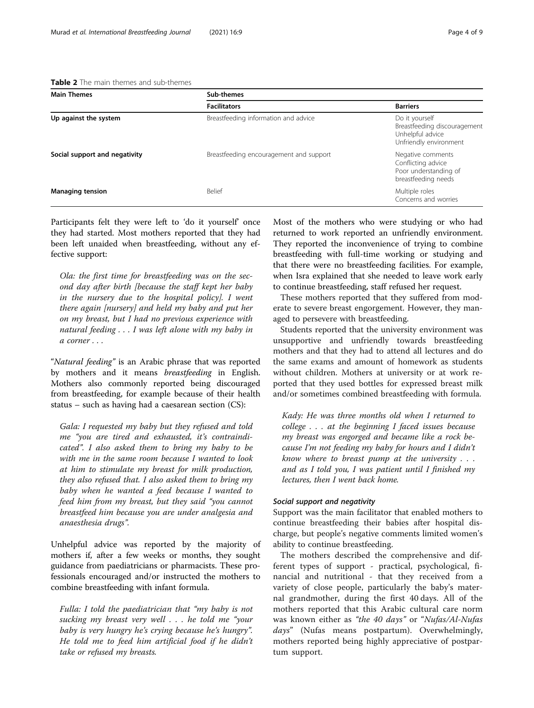<span id="page-3-0"></span>Table 2 The main themes and sub-themes

| <b>Main Themes</b>            | Sub-themes                              |                                                                                              |  |
|-------------------------------|-----------------------------------------|----------------------------------------------------------------------------------------------|--|
|                               | <b>Facilitators</b>                     | <b>Barriers</b>                                                                              |  |
| Up against the system         | Breastfeeding information and advice    | Do it yourself<br>Breastfeeding discouragement<br>Unhelpful advice<br>Unfriendly environment |  |
| Social support and negativity | Breastfeeding encouragement and support | Negative comments<br>Conflicting advice<br>Poor understanding of<br>breastfeeding needs      |  |
| <b>Managing tension</b>       | <b>Belief</b>                           | Multiple roles<br>Concerns and worries                                                       |  |

Participants felt they were left to 'do it yourself' once they had started. Most mothers reported that they had been left unaided when breastfeeding, without any effective support:

Ola: the first time for breastfeeding was on the second day after birth [because the staff kept her baby in the nursery due to the hospital policy]. I went there again [nursery] and held my baby and put her on my breast, but I had no previous experience with natural feeding . . . I was left alone with my baby in a corner . . .

"Natural feeding" is an Arabic phrase that was reported by mothers and it means breastfeeding in English. Mothers also commonly reported being discouraged from breastfeeding, for example because of their health status – such as having had a caesarean section (CS):

Gala: I requested my baby but they refused and told me "you are tired and exhausted, it's contraindicated". I also asked them to bring my baby to be with me in the same room because I wanted to look at him to stimulate my breast for milk production, they also refused that. I also asked them to bring my baby when he wanted a feed because I wanted to feed him from my breast, but they said "you cannot breastfeed him because you are under analgesia and anaesthesia drugs".

Unhelpful advice was reported by the majority of mothers if, after a few weeks or months, they sought guidance from paediatricians or pharmacists. These professionals encouraged and/or instructed the mothers to combine breastfeeding with infant formula.

Fulla: I told the paediatrician that "my baby is not sucking my breast very well . . . he told me "your baby is very hungry he's crying because he's hungry". He told me to feed him artificial food if he didn't take or refused my breasts.

Most of the mothers who were studying or who had returned to work reported an unfriendly environment. They reported the inconvenience of trying to combine breastfeeding with full-time working or studying and that there were no breastfeeding facilities. For example, when Isra explained that she needed to leave work early to continue breastfeeding, staff refused her request.

These mothers reported that they suffered from moderate to severe breast engorgement. However, they managed to persevere with breastfeeding.

Students reported that the university environment was unsupportive and unfriendly towards breastfeeding mothers and that they had to attend all lectures and do the same exams and amount of homework as students without children. Mothers at university or at work reported that they used bottles for expressed breast milk and/or sometimes combined breastfeeding with formula.

Kady: He was three months old when I returned to college . . . at the beginning I faced issues because my breast was engorged and became like a rock because I'm not feeding my baby for hours and I didn't know where to breast pump at the university  $\ldots$ and as I told you, I was patient until I finished my lectures, then I went back home.

## Social support and negativity

Support was the main facilitator that enabled mothers to continue breastfeeding their babies after hospital discharge, but people's negative comments limited women's ability to continue breastfeeding.

The mothers described the comprehensive and different types of support - practical, psychological, financial and nutritional - that they received from a variety of close people, particularly the baby's maternal grandmother, during the first 40 days. All of the mothers reported that this Arabic cultural care norm was known either as "the 40 days" or "Nufas/Al-Nufas days" (Nufas means postpartum). Overwhelmingly, mothers reported being highly appreciative of postpartum support.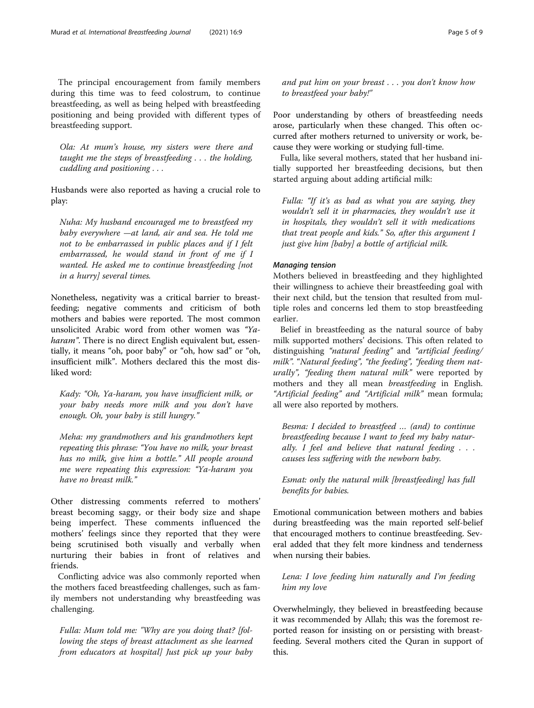The principal encouragement from family members during this time was to feed colostrum, to continue breastfeeding, as well as being helped with breastfeeding positioning and being provided with different types of breastfeeding support.

Ola: At mum's house, my sisters were there and taught me the steps of breastfeeding . . . the holding, cuddling and positioning . . .

Husbands were also reported as having a crucial role to play:

Nuha: My husband encouraged me to breastfeed my baby everywhere —at land, air and sea. He told me not to be embarrassed in public places and if I felt embarrassed, he would stand in front of me if I wanted. He asked me to continue breastfeeding [not in a hurry] several times.

Nonetheless, negativity was a critical barrier to breastfeeding; negative comments and criticism of both mothers and babies were reported. The most common unsolicited Arabic word from other women was "Yaharam". There is no direct English equivalent but, essentially, it means "oh, poor baby" or "oh, how sad" or "oh, insufficient milk". Mothers declared this the most disliked word:

Kady: "Oh, Ya-haram, you have insufficient milk, or your baby needs more milk and you don't have enough. Oh, your baby is still hungry."

Meha: my grandmothers and his grandmothers kept repeating this phrase: "You have no milk, your breast has no milk, give him a bottle." All people around me were repeating this expression: "Ya-haram you have no breast milk."

Other distressing comments referred to mothers' breast becoming saggy, or their body size and shape being imperfect. These comments influenced the mothers' feelings since they reported that they were being scrutinised both visually and verbally when nurturing their babies in front of relatives and friends.

Conflicting advice was also commonly reported when the mothers faced breastfeeding challenges, such as family members not understanding why breastfeeding was challenging.

Fulla: Mum told me: "Why are you doing that? [following the steps of breast attachment as she learned from educators at hospital] Just pick up your baby and put him on your breast . . . you don't know how to breastfeed your baby!"

Poor understanding by others of breastfeeding needs arose, particularly when these changed. This often occurred after mothers returned to university or work, because they were working or studying full-time.

Fulla, like several mothers, stated that her husband initially supported her breastfeeding decisions, but then started arguing about adding artificial milk:

Fulla: "If it's as bad as what you are saying, they wouldn't sell it in pharmacies, they wouldn't use it in hospitals, they wouldn't sell it with medications that treat people and kids." So, after this argument I just give him [baby] a bottle of artificial milk.

#### Managing tension

Mothers believed in breastfeeding and they highlighted their willingness to achieve their breastfeeding goal with their next child, but the tension that resulted from multiple roles and concerns led them to stop breastfeeding earlier.

Belief in breastfeeding as the natural source of baby milk supported mothers' decisions. This often related to distinguishing "natural feeding" and "artificial feeding/ milk". "Natural feeding", "the feeding", "feeding them naturally", "feeding them natural milk" were reported by mothers and they all mean breastfeeding in English. "Artificial feeding" and "Artificial milk" mean formula; all were also reported by mothers.

Besma: I decided to breastfeed … (and) to continue breastfeeding because I want to feed my baby naturally. I feel and believe that natural feeding  $\ldots$ causes less suffering with the newborn baby.

Esmat: only the natural milk [breastfeeding] has full benefits for babies.

Emotional communication between mothers and babies during breastfeeding was the main reported self-belief that encouraged mothers to continue breastfeeding. Several added that they felt more kindness and tenderness when nursing their babies.

## Lena: I love feeding him naturally and I'm feeding him my love

Overwhelmingly, they believed in breastfeeding because it was recommended by Allah; this was the foremost reported reason for insisting on or persisting with breastfeeding. Several mothers cited the Quran in support of this.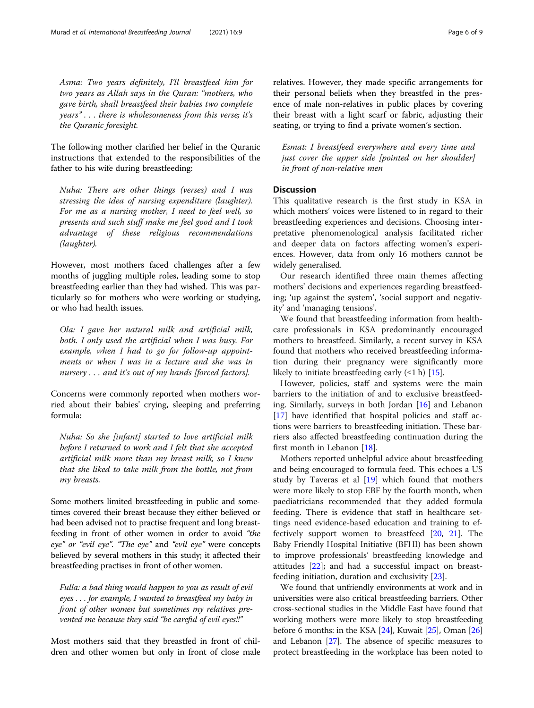Asma: Two years definitely, I'll breastfeed him for two years as Allah says in the Quran: "mothers, who gave birth, shall breastfeed their babies two complete years" . . . there is wholesomeness from this verse; it's the Quranic foresight.

The following mother clarified her belief in the Quranic instructions that extended to the responsibilities of the father to his wife during breastfeeding:

Nuha: There are other things (verses) and I was stressing the idea of nursing expenditure (laughter). For me as a nursing mother, I need to feel well, so presents and such stuff make me feel good and I took advantage of these religious recommendations (laughter).

However, most mothers faced challenges after a few months of juggling multiple roles, leading some to stop breastfeeding earlier than they had wished. This was particularly so for mothers who were working or studying, or who had health issues.

Ola: I gave her natural milk and artificial milk, both. I only used the artificial when I was busy. For example, when I had to go for follow-up appointments or when I was in a lecture and she was in nursery . . . and it's out of my hands [forced factors].

Concerns were commonly reported when mothers worried about their babies' crying, sleeping and preferring formula:

Nuha: So she [infant] started to love artificial milk before I returned to work and I felt that she accepted artificial milk more than my breast milk, so I knew that she liked to take milk from the bottle, not from my breasts.

Some mothers limited breastfeeding in public and sometimes covered their breast because they either believed or had been advised not to practise frequent and long breastfeeding in front of other women in order to avoid "the eye" or "evil eye". "The eye" and "evil eye" were concepts believed by several mothers in this study; it affected their breastfeeding practises in front of other women.

Fulla: a bad thing would happen to you as result of evil eyes . . . for example, I wanted to breastfeed my baby in front of other women but sometimes my relatives prevented me because they said "be careful of evil eyes!!"

Most mothers said that they breastfed in front of children and other women but only in front of close male relatives. However, they made specific arrangements for their personal beliefs when they breastfed in the presence of male non-relatives in public places by covering their breast with a light scarf or fabric, adjusting their seating, or trying to find a private women's section.

Esmat: I breastfeed everywhere and every time and just cover the upper side [pointed on her shoulder] in front of non-relative men

## **Discussion**

This qualitative research is the first study in KSA in which mothers' voices were listened to in regard to their breastfeeding experiences and decisions. Choosing interpretative phenomenological analysis facilitated richer and deeper data on factors affecting women's experiences. However, data from only 16 mothers cannot be widely generalised.

Our research identified three main themes affecting mothers' decisions and experiences regarding breastfeeding; 'up against the system', 'social support and negativity' and 'managing tensions'.

We found that breastfeeding information from healthcare professionals in KSA predominantly encouraged mothers to breastfeed. Similarly, a recent survey in KSA found that mothers who received breastfeeding information during their pregnancy were significantly more likely to initiate breastfeeding early  $(\leq 1 h)$  [[15\]](#page-7-0).

However, policies, staff and systems were the main barriers to the initiation of and to exclusive breastfeeding. Similarly, surveys in both Jordan [\[16](#page-7-0)] and Lebanon [[17\]](#page-7-0) have identified that hospital policies and staff actions were barriers to breastfeeding initiation. These barriers also affected breastfeeding continuation during the first month in Lebanon [\[18](#page-7-0)].

Mothers reported unhelpful advice about breastfeeding and being encouraged to formula feed. This echoes a US study by Taveras et al [[19\]](#page-7-0) which found that mothers were more likely to stop EBF by the fourth month, when paediatricians recommended that they added formula feeding. There is evidence that staff in healthcare settings need evidence-based education and training to effectively support women to breastfeed [[20,](#page-7-0) [21\]](#page-7-0). The Baby Friendly Hospital Initiative (BFHI) has been shown to improve professionals' breastfeeding knowledge and attitudes [[22\]](#page-7-0); and had a successful impact on breastfeeding initiation, duration and exclusivity [[23](#page-7-0)].

We found that unfriendly environments at work and in universities were also critical breastfeeding barriers. Other cross-sectional studies in the Middle East have found that working mothers were more likely to stop breastfeeding before 6 months: in the KSA [\[24](#page-7-0)], Kuwait [\[25\]](#page-7-0), Oman [[26](#page-7-0)] and Lebanon [\[27](#page-7-0)]. The absence of specific measures to protect breastfeeding in the workplace has been noted to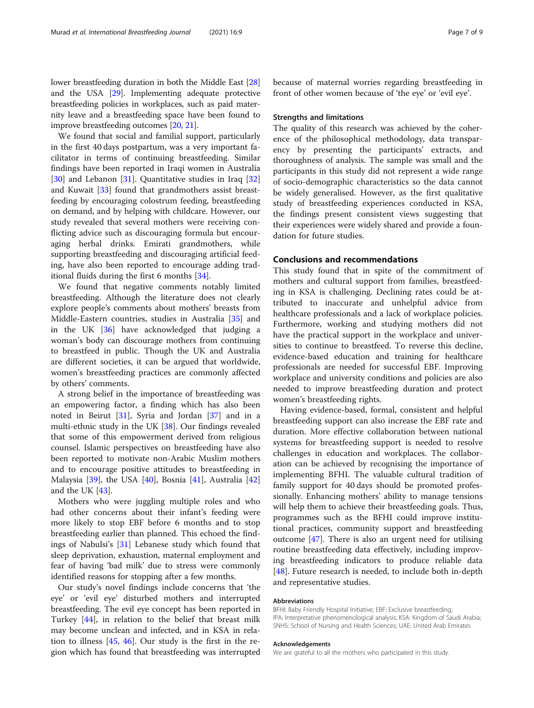lower breastfeeding duration in both the Middle East [[28](#page-7-0)] and the USA [[29\]](#page-7-0). Implementing adequate protective breastfeeding policies in workplaces, such as paid maternity leave and a breastfeeding space have been found to improve breastfeeding outcomes [\[20](#page-7-0), [21](#page-7-0)].

We found that social and familial support, particularly in the first 40 days postpartum, was a very important facilitator in terms of continuing breastfeeding. Similar findings have been reported in Iraqi women in Australia [[30\]](#page-7-0) and Lebanon [\[31](#page-7-0)]. Quantitative studies in Iraq [[32](#page-7-0)] and Kuwait [[33](#page-7-0)] found that grandmothers assist breastfeeding by encouraging colostrum feeding, breastfeeding on demand, and by helping with childcare. However, our study revealed that several mothers were receiving conflicting advice such as discouraging formula but encouraging herbal drinks. Emirati grandmothers, while supporting breastfeeding and discouraging artificial feeding, have also been reported to encourage adding traditional fluids during the first 6 months [\[34](#page-7-0)].

We found that negative comments notably limited breastfeeding. Although the literature does not clearly explore people's comments about mothers' breasts from Middle-Eastern countries, studies in Australia [\[35\]](#page-7-0) and in the UK [\[36](#page-7-0)] have acknowledged that judging a woman's body can discourage mothers from continuing to breastfeed in public. Though the UK and Australia are different societies, it can be argued that worldwide, women's breastfeeding practices are commonly affected by others' comments.

A strong belief in the importance of breastfeeding was an empowering factor, a finding which has also been noted in Beirut [\[31](#page-7-0)], Syria and Jordan [\[37\]](#page-7-0) and in a multi-ethnic study in the UK [[38\]](#page-8-0). Our findings revealed that some of this empowerment derived from religious counsel. Islamic perspectives on breastfeeding have also been reported to motivate non-Arabic Muslim mothers and to encourage positive attitudes to breastfeeding in Malaysia [\[39](#page-8-0)], the USA [\[40](#page-8-0)], Bosnia [[41](#page-8-0)], Australia [[42](#page-8-0)] and the UK [\[43](#page-8-0)].

Mothers who were juggling multiple roles and who had other concerns about their infant's feeding were more likely to stop EBF before 6 months and to stop breastfeeding earlier than planned. This echoed the findings of Nabulsi's [\[31](#page-7-0)] Lebanese study which found that sleep deprivation, exhaustion, maternal employment and fear of having 'bad milk' due to stress were commonly identified reasons for stopping after a few months.

Our study's novel findings include concerns that 'the eye' or 'evil eye' disturbed mothers and interrupted breastfeeding. The evil eye concept has been reported in Turkey [\[44\]](#page-8-0), in relation to the belief that breast milk may become unclean and infected, and in KSA in relation to illness  $[45, 46]$  $[45, 46]$  $[45, 46]$  $[45, 46]$ . Our study is the first in the region which has found that breastfeeding was interrupted

because of maternal worries regarding breastfeeding in front of other women because of 'the eye' or 'evil eye'.

### Strengths and limitations

The quality of this research was achieved by the coherence of the philosophical methodology, data transparency by presenting the participants' extracts, and thoroughness of analysis. The sample was small and the participants in this study did not represent a wide range of socio-demographic characteristics so the data cannot be widely generalised. However, as the first qualitative study of breastfeeding experiences conducted in KSA, the findings present consistent views suggesting that their experiences were widely shared and provide a foundation for future studies.

## Conclusions and recommendations

This study found that in spite of the commitment of mothers and cultural support from families, breastfeeding in KSA is challenging. Declining rates could be attributed to inaccurate and unhelpful advice from healthcare professionals and a lack of workplace policies. Furthermore, working and studying mothers did not have the practical support in the workplace and universities to continue to breastfeed. To reverse this decline, evidence-based education and training for healthcare professionals are needed for successful EBF. Improving workplace and university conditions and policies are also needed to improve breastfeeding duration and protect women's breastfeeding rights.

Having evidence-based, formal, consistent and helpful breastfeeding support can also increase the EBF rate and duration. More effective collaboration between national systems for breastfeeding support is needed to resolve challenges in education and workplaces. The collaboration can be achieved by recognising the importance of implementing BFHI. The valuable cultural tradition of family support for 40 days should be promoted professionally. Enhancing mothers' ability to manage tensions will help them to achieve their breastfeeding goals. Thus, programmes such as the BFHI could improve institutional practices, community support and breastfeeding outcome [\[47](#page-8-0)]. There is also an urgent need for utilising routine breastfeeding data effectively, including improving breastfeeding indicators to produce reliable data [[48\]](#page-8-0). Future research is needed, to include both in-depth and representative studies.

#### Abbreviations

BFHI: Baby Friendly Hospital Initiative; EBF: Exclusive breastfeeding; IPA: Interpretative phenomenological analysis; KSA: Kingdom of Saudi Arabia; SNHS: School of Nursing and Health Sciences; UAE: United Arab Emirates

#### Acknowledgements

We are grateful to all the mothers who participated in this study.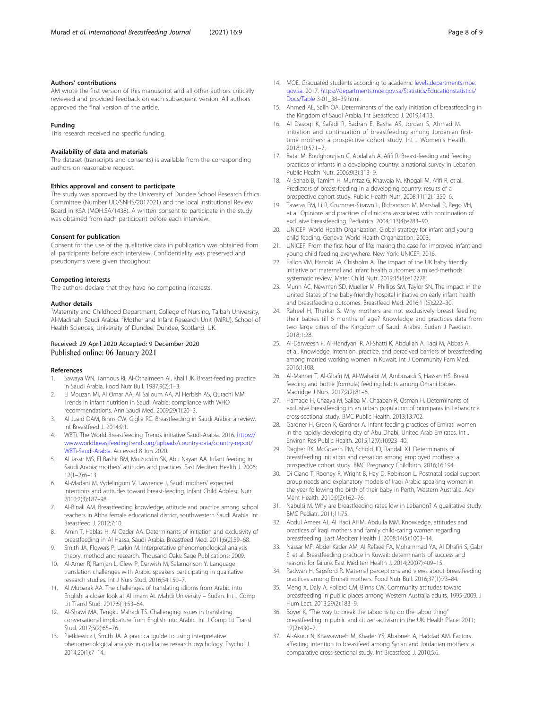#### <span id="page-7-0"></span>Authors' contributions

AM wrote the first version of this manuscript and all other authors critically reviewed and provided feedback on each subsequent version. All authors approved the final version of the article.

#### Funding

This research received no specific funding.

#### Availability of data and materials

The dataset (transcripts and consents) is available from the corresponding authors on reasonable request.

#### Ethics approval and consent to participate

The study was approved by the University of Dundee School Research Ethics Committee (Number UD/SNHS/2017021) and the local Institutional Review Board in KSA (MOH.SA/1438). A written consent to participate in the study was obtained from each participant before each interview.

#### Consent for publication

Consent for the use of the qualitative data in publication was obtained from all participants before each interview. Confidentiality was preserved and pseudonyms were given throughout.

#### Competing interests

The authors declare that they have no competing interests.

#### Author details

<sup>1</sup>Maternity and Childhood Department, College of Nursing, Taibah University, Al-Madinah, Saudi Arabia. <sup>2</sup>Mother and Infant Research Unit (MIRU), School of Health Sciences, University of Dundee, Dundee, Scotland, UK.

#### Received: 29 April 2020 Accepted: 9 December 2020 Published online: 06 January 2021

#### References

- 1. Sawaya WN, Tannous RI, Al-Othaimeen AI, Khalil JK. Breast-feeding practice in Saudi Arabia. Food Nutr Bull. 1987;9(2):1–3.
- 2. El Mouzan MI, Al Omar AA, Al Salloum AA, Al Herbish AS, Qurachi MM. Trends in infant nutrition in Saudi Arabia: compliance with WHO recommendations. Ann Saudi Med. 2009;29(1):20–3.
- 3. Al Juaid DAM, Binns CW, Giglia RC. Breastfeeding in Saudi Arabia: a review. Int Breastfeed J. 2014;9:1.
- 4. WBTi. The World Breastfeeding Trends initiative Saudi-Arabia. 2016. [https://](https://www.worldbreastfeedingtrends.org/uploads/country-data/country-report/WBTi-Saudi-Arabia) [www.worldbreastfeedingtrends.org/uploads/country-data/country-report/](https://www.worldbreastfeedingtrends.org/uploads/country-data/country-report/WBTi-Saudi-Arabia) [WBTi-Saudi-Arabia](https://www.worldbreastfeedingtrends.org/uploads/country-data/country-report/WBTi-Saudi-Arabia). Accessed 8 Jun 2020.
- 5. Al Jassir MS, El Bashir BM, Moizuddin SK, Abu Nayan AA. Infant feeding in Saudi Arabia: mothers' attitudes and practices. East Mediterr Health J. 2006;  $12(1-2):6-13$ .
- 6. Al-Madani M, Vydelingum V, Lawrence J. Saudi mothers' expected intentions and attitudes toward breast-feeding. Infant Child Adolesc Nutr. 2010;2(3):187–98.
- 7. Al-Binali AM. Breastfeeding knowledge, attitude and practice among school teachers in Abha female educational district, southwestern Saudi Arabia. Int Breastfeed J. 2012;7:10.
- 8. Amin T, Hablas H, Al Qader AA. Determinants of initiation and exclusivity of breastfeeding in Al Hassa, Saudi Arabia. Breastfeed Med. 2011;6(2):59–68.
- 9. Smith JA, Flowers P, Larkin M. Interpretative phenomenological analysis theory, method and research. Thousand Oaks: Sage Publications; 2009.
- 10. Al-Amer R, Ramjan L, Glew P, Darwish M, Salamonson Y. Language translation challenges with Arabic speakers participating in qualitative research studies. Int J Nurs Stud. 2016;54:150–7.
- 11. Al Mubarak AA. The challenges of translating idioms from Arabic into English: a closer look at Al imam AL Mahdi University – Sudan. Int J Comp Lit Transl Stud. 2017;5(1):53–64.
- 12. Al-Shawi MA, Tengku Mahadi TS. Challenging issues in translating conversational implicature from English into Arabic. Int J Comp Lit Transl Stud. 2017;5(2):65–76.
- 13. Pietkiewicz I, Smith JA. A practical guide to using interpretative phenomenological analysis in qualitative research psychology. Psychol J. 2014;20(1):7–14.
- 14. MOE. Graduated students according to academic [levels.departments.moe.](http://levels.departments.moe.gov.sa) [gov.sa.](http://levels.departments.moe.gov.sa) 2017. [https://departments.moe.gov.sa/Statistics/Educationstatistics/](https://departments.moe.gov.sa/Statistics/Educationstatistics/Docs/Table) [Docs/Table](https://departments.moe.gov.sa/Statistics/Educationstatistics/Docs/Table) 3-01\_38–39.html.
- 15. Ahmed AE, Salih OA. Determinants of the early initiation of breastfeeding in the Kingdom of Saudi Arabia. Int Breastfeed J. 2019;14:13.
- 16. Al Dasoqi K, Safadi R, Badran E, Basha AS, Jordan S, Ahmad M. Initiation and continuation of breastfeeding among Jordanian firsttime mothers: a prospective cohort study. Int J Women's Health. 2018;10:571–7.
- 17. Batal M, Boulghourjian C, Abdallah A, Afifi R. Breast-feeding and feeding practices of infants in a developing country: a national survey in Lebanon. Public Health Nutr. 2006;9(3):313–9.
- 18. Al-Sahab B, Tamim H, Mumtaz G, Khawaja M, Khogali M, Afifi R, et al. Predictors of breast-feeding in a developing country: results of a prospective cohort study. Public Health Nutr. 2008;11(12):1350–6.
- 19. Taveras EM, Li R, Grummer-Strawn L, Richardson M, Marshall R, Rego VH, et al. Opinions and practices of clinicians associated with continuation of exclusive breastfeeding. Pediatrics. 2004;113(4):e283–90.
- 20. UNICEF, World Health Organization. Global strategy for infant and young child feeding. Geneva: World Health Organization; 2003.
- 21. UNICEF. From the first hour of life: making the case for improved infant and young child feeding everywhere. New York: UNICEF; 2016.
- 22. Fallon VM, Harrold JA, Chisholm A. The impact of the UK baby friendly initiative on maternal and infant health outcomes: a mixed-methods systematic review. Mater Child Nutr. 2019;15(3):e12778.
- 23. Munn AC, Newman SD, Mueller M, Phillips SM, Taylor SN. The impact in the United States of the baby-friendly hospital initiative on early infant health and breastfeeding outcomes. Breastfeed Med. 2016;11(5):222–30.
- 24. Raheel H, Tharkar S. Why mothers are not exclusively breast feeding their babies till 6 months of age? Knowledge and practices data from two large cities of the Kingdom of Saudi Arabia. Sudan J Paediatr. 2018;1:28.
- 25. Al-Darweesh F, Al-Hendyani R, Al-Shatti K, Abdullah A, Taqi M, Abbas A, et al. Knowledge, intention, practice, and perceived barriers of breastfeeding among married working women in Kuwait. Int J Community Fam Med. 2016;1:108.
- 26. Al-Mamari T, Al-Ghafri M, Al-Wahaibi M, Ambusaidi S, Hassan HS. Breast feeding and bottle (formula) feeding habits among Omani babies. Madridge J Nurs. 2017;2(2):81–6.
- 27. Hamade H, Chaaya M, Saliba M, Chaaban R, Osman H. Determinants of exclusive breastfeeding in an urban population of primiparas in Lebanon: a cross-sectional study. BMC Public Health. 2013;13:702.
- 28. Gardner H, Green K, Gardner A. Infant feeding practices of Emirati women in the rapidly developing city of Abu Dhabi, United Arab Emirates. Int J Environ Res Public Health. 2015;12(9):10923–40.
- 29. Dagher RK, McGovern PM, Schold JD, Randall XJ. Determinants of breastfeeding initiation and cessation among employed mothers: a prospective cohort study. BMC Pregnancy Childbirth. 2016;16:194.
- 30. Di Ciano T, Rooney R, Wright B, Hay D, Robinson L. Postnatal social support group needs and explanatory models of Iraqi Arabic speaking women in the year following the birth of their baby in Perth, Western Australia. Adv Ment Health. 2010;9(2):162–76.
- 31. Nabulsi M. Why are breastfeeding rates low in Lebanon? A qualitative study. BMC Pediatr. 2011;11:75.
- 32. Abdul Ameer AJ, Al Hadi AHM, Abdulla MM. Knowledge, attitudes and practices of Iraqi mothers and family child-caring women regarding breastfeeding. East Mediterr Health J. 2008;14(5):1003–14.
- 33. Nassar MF, Abdel Kader AM, Al Refaee FA, Mohammad YA, Al Dhafiri S, Gabr S, et al. Breastfeeding practice in Kuwait: determinants of success and reasons for failure. East Mediterr Health J. 2014;20(07):409–15.
- 34. Radwan H, Sapsford R. Maternal perceptions and views about breastfeeding practices among Emirati mothers. Food Nutr Bull. 2016;37(1):73–84.
- 35. Meng X, Daly A, Pollard CM, Binns CW. Community attitudes toward breastfeeding in public places among Western Australia adults, 1995-2009. J Hum Lact. 2013;29(2):183–9.
- 36. Boyer K. "The way to break the taboo is to do the taboo thing" breastfeeding in public and citizen-activism in the UK. Health Place. 2011; 17(2):430–7.
- 37. Al-Akour N, Khassawneh M, Khader YS, Ababneh A, Haddad AM. Factors affecting intention to breastfeed among Syrian and Jordanian mothers: a comparative cross-sectional study. Int Breastfeed J. 2010;5:6.